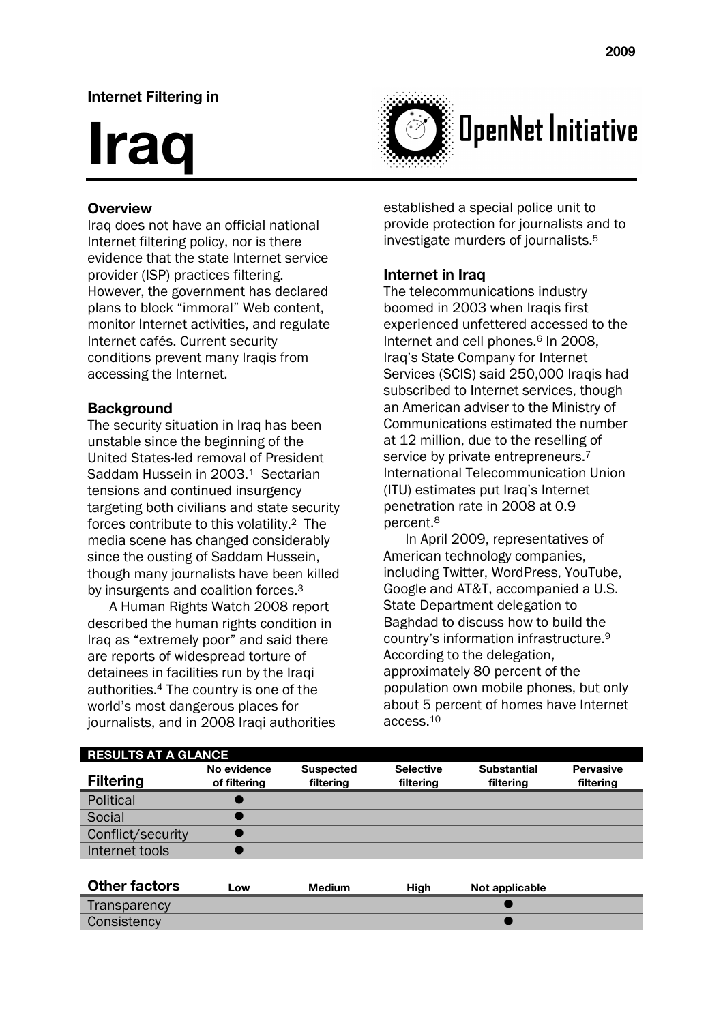# **Internet Filtering in**

# **Iraq**



### **Overview**

Iraq does not have an official national Internet filtering policy, nor is there evidence that the state Internet service provider (ISP) practices filtering. However, the government has declared plans to block "immoral" Web content, monitor Internet activities, and regulate Internet cafés. Current security conditions prevent many Iraqis from accessing the Internet.

#### **Background**

The security situation in Iraq has been unstable since the beginning of the United States-led removal of President Saddam Hussein in 2003<sup>1</sup> Sectarian tensions and continued insurgency targeting both civilians and state security forces contribute to this volatility.2 The media scene has changed considerably since the ousting of Saddam Hussein, though many journalists have been killed by insurgents and coalition forces.<sup>3</sup>

A Human Rights Watch 2008 report described the human rights condition in Iraq as "extremely poor" and said there are reports of widespread torture of detainees in facilities run by the Iraqi authorities.4 The country is one of the world's most dangerous places for journalists, and in 2008 Iraqi authorities established a special police unit to provide protection for journalists and to investigate murders of journalists.5

#### **Internet in Iraq**

The telecommunications industry boomed in 2003 when Iraqis first experienced unfettered accessed to the Internet and cell phones.<sup>6</sup> In 2008. Iraq's State Company for Internet Services (SCIS) said 250,000 Iraqis had subscribed to Internet services, though an American adviser to the Ministry of Communications estimated the number at 12 million, due to the reselling of service by private entrepreneurs.<sup>7</sup> International Telecommunication Union (ITU) estimates put Iraq's Internet penetration rate in 2008 at 0.9 percent.8

In April 2009, representatives of American technology companies, including Twitter, WordPress, YouTube, Google and AT&T, accompanied a U.S. State Department delegation to Baghdad to discuss how to build the country's information infrastructure.9 According to the delegation, approximately 80 percent of the population own mobile phones, but only about 5 percent of homes have Internet access.10

| <b>RESULTS AT A GLANCE</b> |                             |                               |                               |                                 |                               |
|----------------------------|-----------------------------|-------------------------------|-------------------------------|---------------------------------|-------------------------------|
| <b>Filtering</b>           | No evidence<br>of filtering | <b>Suspected</b><br>filtering | <b>Selective</b><br>filtering | <b>Substantial</b><br>filtering | <b>Pervasive</b><br>filtering |
| Political                  |                             |                               |                               |                                 |                               |
| Social                     |                             |                               |                               |                                 |                               |
| Conflict/security          |                             |                               |                               |                                 |                               |
| Internet tools             |                             |                               |                               |                                 |                               |
|                            |                             |                               |                               |                                 |                               |
| <b>Other factors</b>       | Low                         | <b>Medium</b>                 | High                          | Not applicable                  |                               |
| Transparency               |                             |                               |                               |                                 |                               |
| Consistency                |                             |                               |                               |                                 |                               |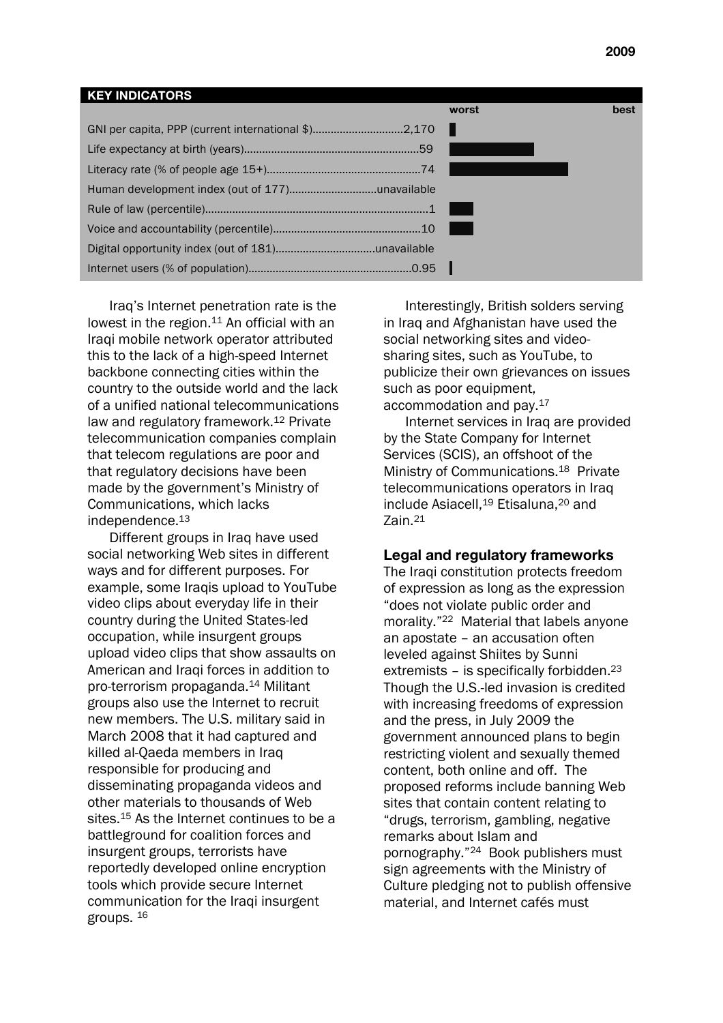# **KEY INDICATORS worst best** GNI per capita, PPP (current international \$)……………………......2,170 . Life expectancy at birth (years)………………………………………………….59 … Literacy rate (% of people age 15+)……………………………………………74 … … Human development index (out of 177)………………………..unavailable Rule of law (percentile)………………………………………………………………..1 … Voice and accountability (percentile)……………………………………….…10 … …. Digital opportunity index (out of 181)……..…………………….unavailable Internet users (% of population)…………………….……………..............0.95 .

Iraq's Internet penetration rate is the lowest in the region.<sup>11</sup> An official with an Iraqi mobile network operator attributed this to the lack of a high-speed Internet backbone connecting cities within the country to the outside world and the lack of a unified national telecommunications law and regulatory framework.12 Private telecommunication companies complain that telecom regulations are poor and that regulatory decisions have been made by the government's Ministry of Communications, which lacks independence.13

Different groups in Iraq have used social networking Web sites in different ways and for different purposes. For example, some Iraqis upload to YouTube video clips about everyday life in their country during the United States-led occupation, while insurgent groups upload video clips that show assaults on American and Iraqi forces in addition to pro-terrorism propaganda.14 Militant groups also use the Internet to recruit new members. The U.S. military said in March 2008 that it had captured and killed al-Qaeda members in Iraq responsible for producing and disseminating propaganda videos and other materials to thousands of Web sites.<sup>15</sup> As the Internet continues to be a battleground for coalition forces and insurgent groups, terrorists have reportedly developed online encryption tools which provide secure Internet communication for the Iraqi insurgent groups. 16

Interestingly, British solders serving in Iraq and Afghanistan have used the social networking sites and videosharing sites, such as YouTube, to publicize their own grievances on issues such as poor equipment, accommodation and pay.17

Internet services in Iraq are provided by the State Company for Internet Services (SCIS), an offshoot of the Ministry of Communications.<sup>18</sup> Private telecommunications operators in Iraq include Asiacell,<sup>19</sup> Etisaluna,<sup>20</sup> and Zain.21

#### **Legal and regulatory frameworks**

The Iraqi constitution protects freedom of expression as long as the expression "does not violate public order and morality."22 Material that labels anyone an apostate – an accusation often leveled against Shiites by Sunni extremists – is specifically forbidden.<sup>23</sup> Though the U.S.-led invasion is credited with increasing freedoms of expression and the press, in July 2009 the government announced plans to begin restricting violent and sexually themed content, both online and off. The proposed reforms include banning Web sites that contain content relating to "drugs, terrorism, gambling, negative remarks about Islam and pornography."24 Book publishers must sign agreements with the Ministry of Culture pledging not to publish offensive material, and Internet cafés must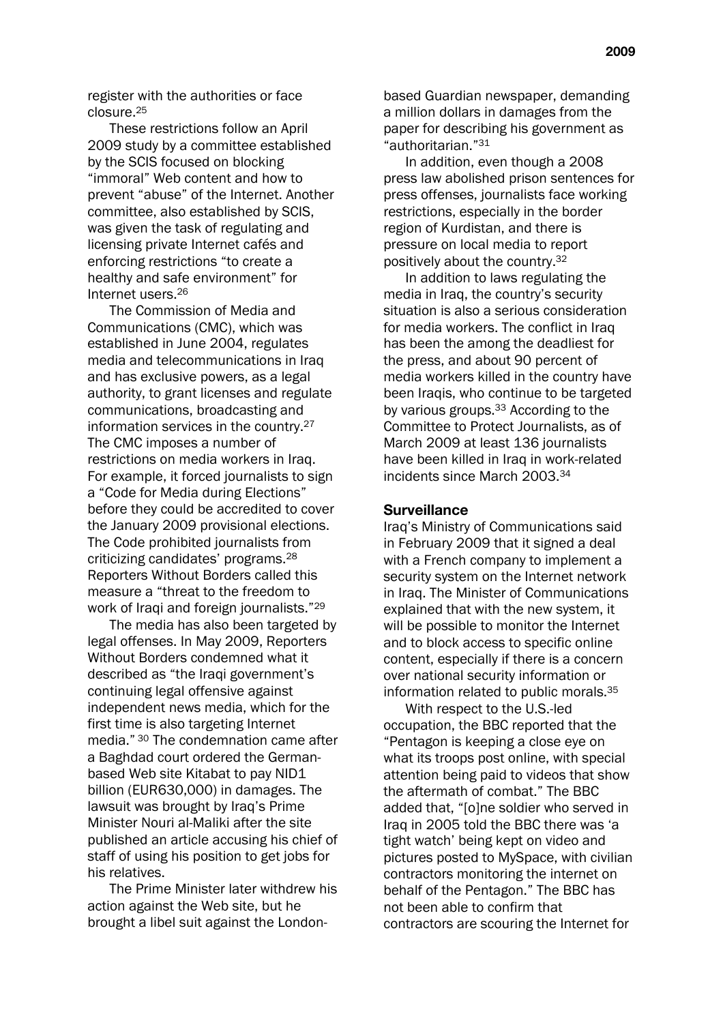register with the authorities or face closure.25

These restrictions follow an April 2009 study by a committee established by the SCIS focused on blocking "immoral" Web content and how to prevent "abuse" of the Internet. Another committee, also established by SCIS, was given the task of regulating and licensing private Internet cafés and enforcing restrictions "to create a healthy and safe environment" for Internet users.26

The Commission of Media and Communications (CMC), which was established in June 2004, regulates media and telecommunications in Iraq and has exclusive powers, as a legal authority, to grant licenses and regulate communications, broadcasting and information services in the country.27 The CMC imposes a number of restrictions on media workers in Iraq. For example, it forced journalists to sign a "Code for Media during Elections" before they could be accredited to cover the January 2009 provisional elections. The Code prohibited journalists from criticizing candidates' programs.28 Reporters Without Borders called this measure a "threat to the freedom to work of Iraqi and foreign journalists."29

The media has also been targeted by legal offenses. In May 2009, Reporters Without Borders condemned what it described as "the Iraqi government's continuing legal offensive against independent news media, which for the first time is also targeting Internet media." 30 The condemnation came after a Baghdad court ordered the Germanbased Web site Kitabat to pay NID1 billion (EUR630,000) in damages. The lawsuit was brought by Iraq's Prime Minister Nouri al-Maliki after the site published an article accusing his chief of staff of using his position to get jobs for his relatives.

The Prime Minister later withdrew his action against the Web site, but he brought a libel suit against the Londonbased Guardian newspaper, demanding a million dollars in damages from the paper for describing his government as "authoritarian."31

In addition, even though a 2008 press law abolished prison sentences for press offenses, journalists face working restrictions, especially in the border region of Kurdistan, and there is pressure on local media to report positively about the country.32

In addition to laws regulating the media in Iraq, the country's security situation is also a serious consideration for media workers. The conflict in Iraq has been the among the deadliest for the press, and about 90 percent of media workers killed in the country have been Iraqis, who continue to be targeted by various groups.33 According to the Committee to Protect Journalists, as of March 2009 at least 136 journalists have been killed in Iraq in work-related incidents since March 2003.34

#### **Surveillance**

Iraq's Ministry of Communications said in February 2009 that it signed a deal with a French company to implement a security system on the Internet network in Iraq. The Minister of Communications explained that with the new system, it will be possible to monitor the Internet and to block access to specific online content, especially if there is a concern over national security information or information related to public morals.35

With respect to the U.S.-led occupation, the BBC reported that the "Pentagon is keeping a close eye on what its troops post online, with special attention being paid to videos that show the aftermath of combat." The BBC added that, "[o]ne soldier who served in Iraq in 2005 told the BBC there was 'a tight watch' being kept on video and pictures posted to MySpace, with civilian contractors monitoring the internet on behalf of the Pentagon." The BBC has not been able to confirm that contractors are scouring the Internet for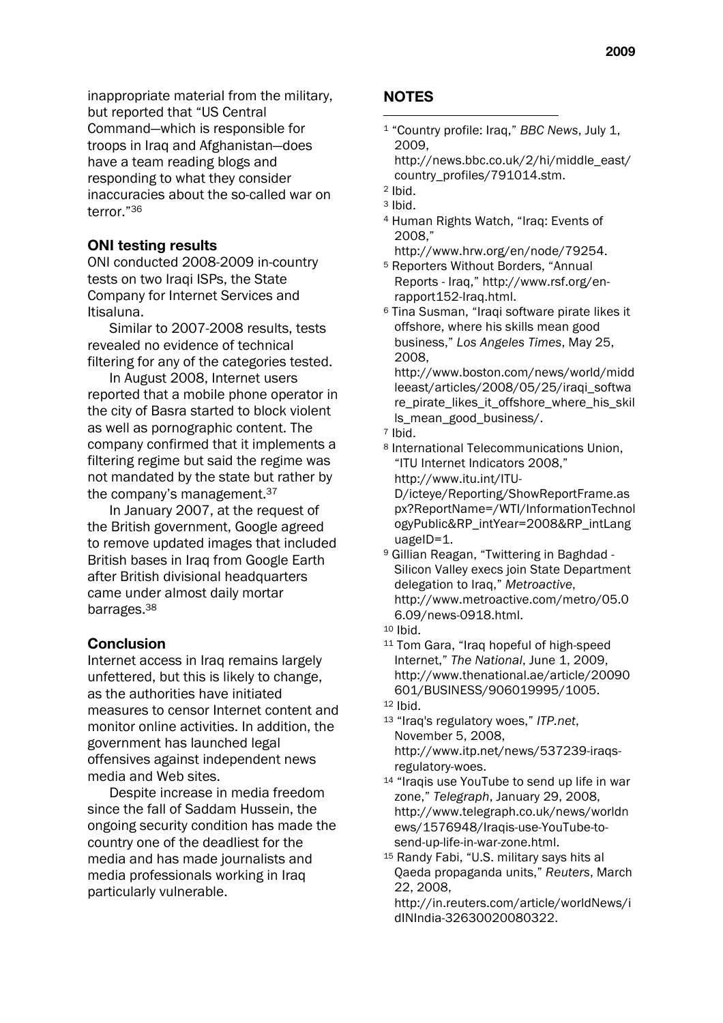inappropriate material from the military, but reported that "US Central Command—which is responsible for troops in Iraq and Afghanistan—does have a team reading blogs and responding to what they consider inaccuracies about the so-called war on terror."36

#### **ONI testing results**

ONI conducted 2008-2009 in-country tests on two Iraqi ISPs, the State Company for Internet Services and Itisaluna.

Similar to 2007-2008 results, tests revealed no evidence of technical filtering for any of the categories tested.

In August 2008, Internet users reported that a mobile phone operator in the city of Basra started to block violent as well as pornographic content. The company confirmed that it implements a filtering regime but said the regime was not mandated by the state but rather by the company's management.37

In January 2007, at the request of the British government, Google agreed to remove updated images that included British bases in Iraq from Google Earth after British divisional headquarters came under almost daily mortar barrages.38

#### **Conclusion**

Internet access in Iraq remains largely unfettered, but this is likely to change, as the authorities have initiated measures to censor Internet content and monitor online activities. In addition, the government has launched legal offensives against independent news media and Web sites.

Despite increase in media freedom since the fall of Saddam Hussein, the ongoing security condition has made the country one of the deadliest for the media and has made journalists and media professionals working in Iraq particularly vulnerable.

# **NOTES**

- 1 "Country profile: Iraq," *BBC News*, July 1, 2009, http://news.bbc.co.uk/2/hi/middle\_east/
	- country\_profiles/791014.stm.

- 4 Human Rights Watch, "Iraq: Events of 2008,"
	- http://www.hrw.org/en/node/79254.
- 5 Reporters Without Borders, "Annual Reports - Iraq," http://www.rsf.org/enrapport152-Iraq.html.
- 6 Tina Susman, "Iraqi software pirate likes it offshore, where his skills mean good business," *Los Angeles Times*, May 25, 2008,

http://www.boston.com/news/world/midd leeast/articles/2008/05/25/iraqi\_softwa re\_pirate\_likes\_it\_offshore\_where\_his\_skil ls\_mean\_good\_business/.

- 7 Ibid.
- 8 International Telecommunications Union, "ITU Internet Indicators 2008," http://www.itu.int/ITU-D/icteye/Reporting/ShowReportFrame.as px?ReportName=/WTI/InformationTechnol ogyPublic&RP\_intYear=2008&RP\_intLang uageID=1.
- 9 Gillian Reagan, "Twittering in Baghdad Silicon Valley execs join State Department delegation to Iraq," *Metroactive*, http://www.metroactive.com/metro/05.0 6.09/news-0918.html.
- 10 Ibid.
- 11 Tom Gara, "Iraq hopeful of high-speed Internet," *The National*, June 1, 2009, http://www.thenational.ae/article/20090 601/BUSINESS/906019995/1005.

- 13 "Iraq's regulatory woes," *ITP.net*, November 5, 2008, http://www.itp.net/news/537239-iraqsregulatory-woes.
- 14 "Iraqis use YouTube to send up life in war zone," *Telegraph*, January 29, 2008, http://www.telegraph.co.uk/news/worldn ews/1576948/Iraqis-use-YouTube-tosend-up-life-in-war-zone.html.
- 15 Randy Fabi, "U.S. military says hits al Qaeda propaganda units," *Reuters*, March 22, 2008,

http://in.reuters.com/article/worldNews/i dINIndia-32630020080322.

<sup>2</sup> Ibid. 3 Ibid.

<sup>12</sup> Ibid.